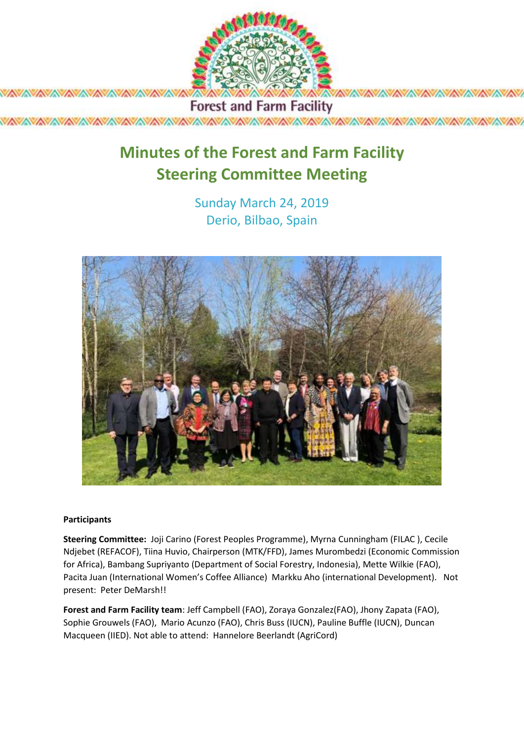

**Forest and Farm Facility** 

# **Minutes of the Forest and Farm Facility Steering Committee Meeting**

Sunday March 24, 2019 Derio, Bilbao, Spain



#### **Participants**

*XAVAVAVAVAVAVAVAVAVAVAVA* 

**Steering Committee:** Joji Carino (Forest Peoples Programme), Myrna Cunningham (FILAC ), Cecile Ndjebet (REFACOF), Tiina Huvio, Chairperson (MTK/FFD), James Murombedzi (Economic Commission for Africa), Bambang Supriyanto (Department of Social Forestry, Indonesia), Mette Wilkie (FAO), Pacita Juan (International Women's Coffee Alliance) Markku Aho (international Development). Not present: Peter DeMarsh!!

**Forest and Farm Facility team**: Jeff Campbell (FAO), Zoraya Gonzalez(FAO), Jhony Zapata (FAO), Sophie Grouwels (FAO), Mario Acunzo (FAO), Chris Buss (IUCN), Pauline Buffle (IUCN), Duncan Macqueen (IIED). Not able to attend: Hannelore Beerlandt (AgriCord)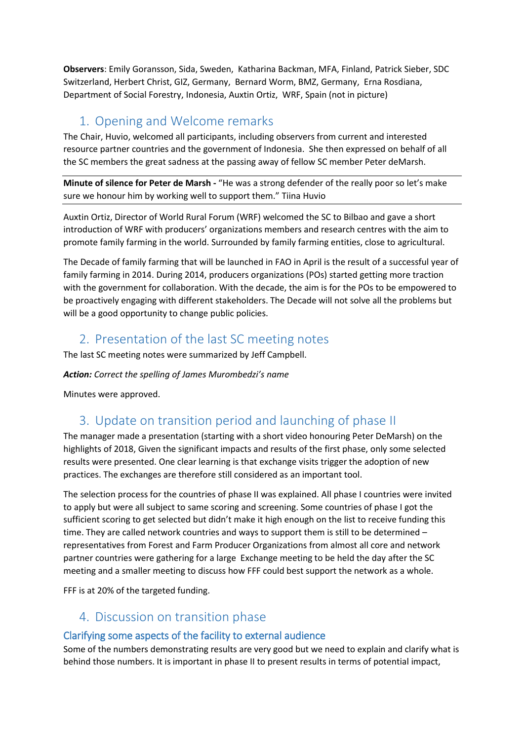**Observers**: Emily Goransson, Sida, Sweden, Katharina Backman, MFA, Finland, Patrick Sieber, SDC Switzerland, Herbert Christ, GIZ, Germany, Bernard Worm, BMZ, Germany, Erna Rosdiana, Department of Social Forestry, Indonesia, Auxtin Ortiz, WRF, Spain (not in picture)

# 1. Opening and Welcome remarks

The Chair, Huvio, welcomed all participants, including observers from current and interested resource partner countries and the government of Indonesia. She then expressed on behalf of all the SC members the great sadness at the passing away of fellow SC member Peter deMarsh.

**Minute of silence for Peter de Marsh -** "He was a strong defender of the really poor so let's make sure we honour him by working well to support them." Tiina Huvio

Auxtin Ortiz, Director of World Rural Forum (WRF) welcomed the SC to Bilbao and gave a short introduction of WRF with producers' organizations members and research centres with the aim to promote family farming in the world. Surrounded by family farming entities, close to agricultural.

The Decade of family farming that will be launched in FAO in April is the result of a successful year of family farming in 2014. During 2014, producers organizations (POs) started getting more traction with the government for collaboration. With the decade, the aim is for the POs to be empowered to be proactively engaging with different stakeholders. The Decade will not solve all the problems but will be a good opportunity to change public policies.

# 2. Presentation of the last SC meeting notes

The last SC meeting notes were summarized by Jeff Campbell.

### *Action: Correct the spelling of James Murombedzi's name*

Minutes were approved.

# 3. Update on transition period and launching of phase II

The manager made a presentation (starting with a short video honouring Peter DeMarsh) on the highlights of 2018, Given the significant impacts and results of the first phase, only some selected results were presented. One clear learning is that exchange visits trigger the adoption of new practices. The exchanges are therefore still considered as an important tool.

The selection process for the countries of phase II was explained. All phase I countries were invited to apply but were all subject to same scoring and screening. Some countries of phase I got the sufficient scoring to get selected but didn't make it high enough on the list to receive funding this time. They are called network countries and ways to support them is still to be determined – representatives from Forest and Farm Producer Organizations from almost all core and network partner countries were gathering for a large Exchange meeting to be held the day after the SC meeting and a smaller meeting to discuss how FFF could best support the network as a whole.

FFF is at 20% of the targeted funding.

# 4. Discussion on transition phase

# Clarifying some aspects of the facility to external audience

Some of the numbers demonstrating results are very good but we need to explain and clarify what is behind those numbers. It is important in phase II to present results in terms of potential impact,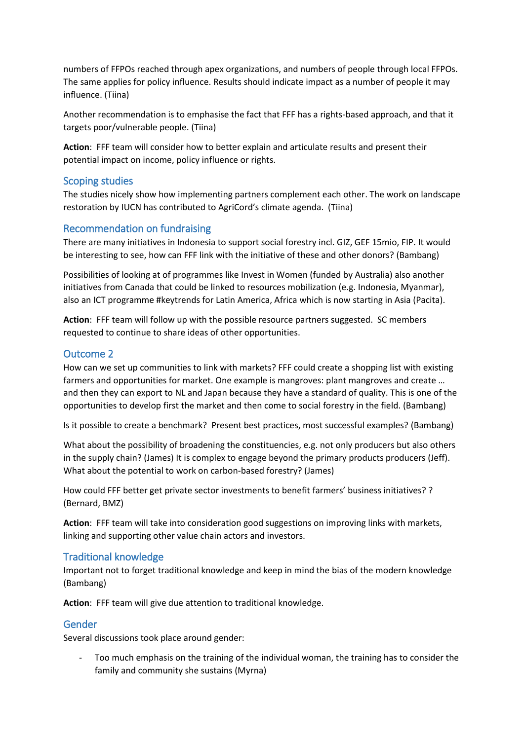numbers of FFPOs reached through apex organizations, and numbers of people through local FFPOs. The same applies for policy influence. Results should indicate impact as a number of people it may influence. (Tiina)

Another recommendation is to emphasise the fact that FFF has a rights-based approach, and that it targets poor/vulnerable people. (Tiina)

**Action**: FFF team will consider how to better explain and articulate results and present their potential impact on income, policy influence or rights.

### Scoping studies

The studies nicely show how implementing partners complement each other. The work on landscape restoration by IUCN has contributed to AgriCord's climate agenda. (Tiina)

### Recommendation on fundraising

There are many initiatives in Indonesia to support social forestry incl. GIZ, GEF 15mio, FIP. It would be interesting to see, how can FFF link with the initiative of these and other donors? (Bambang)

Possibilities of looking at of programmes like Invest in Women (funded by Australia) also another initiatives from Canada that could be linked to resources mobilization (e.g. Indonesia, Myanmar), also an ICT programme #keytrends for Latin America, Africa which is now starting in Asia (Pacita).

**Action**: FFF team will follow up with the possible resource partners suggested. SC members requested to continue to share ideas of other opportunities.

#### Outcome 2

How can we set up communities to link with markets? FFF could create a shopping list with existing farmers and opportunities for market. One example is mangroves: plant mangroves and create … and then they can export to NL and Japan because they have a standard of quality. This is one of the opportunities to develop first the market and then come to social forestry in the field. (Bambang)

Is it possible to create a benchmark? Present best practices, most successful examples? (Bambang)

What about the possibility of broadening the constituencies, e.g. not only producers but also others in the supply chain? (James) It is complex to engage beyond the primary products producers (Jeff). What about the potential to work on carbon-based forestry? (James)

How could FFF better get private sector investments to benefit farmers' business initiatives? ? (Bernard, BMZ)

**Action**: FFF team will take into consideration good suggestions on improving links with markets, linking and supporting other value chain actors and investors.

#### Traditional knowledge

Important not to forget traditional knowledge and keep in mind the bias of the modern knowledge (Bambang)

**Action**: FFF team will give due attention to traditional knowledge.

#### Gender

Several discussions took place around gender:

- Too much emphasis on the training of the individual woman, the training has to consider the family and community she sustains (Myrna)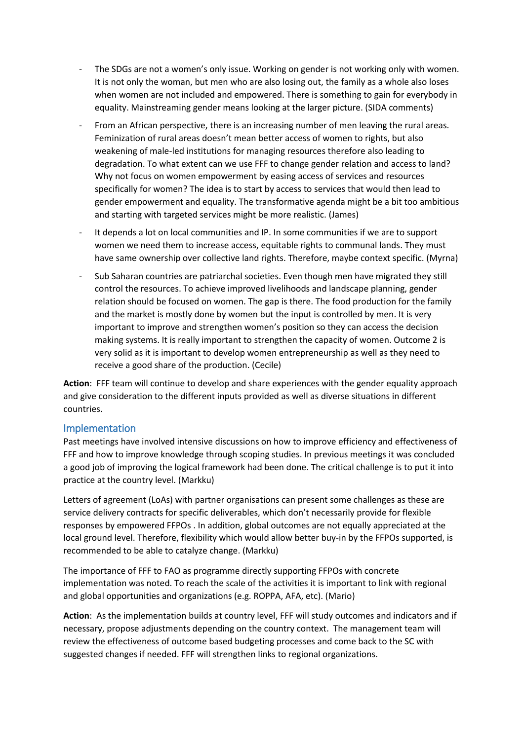- The SDGs are not a women's only issue. Working on gender is not working only with women. It is not only the woman, but men who are also losing out, the family as a whole also loses when women are not included and empowered. There is something to gain for everybody in equality. Mainstreaming gender means looking at the larger picture. (SIDA comments)
- From an African perspective, there is an increasing number of men leaving the rural areas. Feminization of rural areas doesn't mean better access of women to rights, but also weakening of male-led institutions for managing resources therefore also leading to degradation. To what extent can we use FFF to change gender relation and access to land? Why not focus on women empowerment by easing access of services and resources specifically for women? The idea is to start by access to services that would then lead to gender empowerment and equality. The transformative agenda might be a bit too ambitious and starting with targeted services might be more realistic. (James)
- It depends a lot on local communities and IP. In some communities if we are to support women we need them to increase access, equitable rights to communal lands. They must have same ownership over collective land rights. Therefore, maybe context specific. (Myrna)
- Sub Saharan countries are patriarchal societies. Even though men have migrated they still control the resources. To achieve improved livelihoods and landscape planning, gender relation should be focused on women. The gap is there. The food production for the family and the market is mostly done by women but the input is controlled by men. It is very important to improve and strengthen women's position so they can access the decision making systems. It is really important to strengthen the capacity of women. Outcome 2 is very solid as it is important to develop women entrepreneurship as well as they need to receive a good share of the production. (Cecile)

**Action**: FFF team will continue to develop and share experiences with the gender equality approach and give consideration to the different inputs provided as well as diverse situations in different countries.

### Implementation

Past meetings have involved intensive discussions on how to improve efficiency and effectiveness of FFF and how to improve knowledge through scoping studies. In previous meetings it was concluded a good job of improving the logical framework had been done. The critical challenge is to put it into practice at the country level. (Markku)

Letters of agreement (LoAs) with partner organisations can present some challenges as these are service delivery contracts for specific deliverables, which don't necessarily provide for flexible responses by empowered FFPOs . In addition, global outcomes are not equally appreciated at the local ground level. Therefore, flexibility which would allow better buy-in by the FFPOs supported, is recommended to be able to catalyze change. (Markku)

The importance of FFF to FAO as programme directly supporting FFPOs with concrete implementation was noted. To reach the scale of the activities it is important to link with regional and global opportunities and organizations (e.g. ROPPA, AFA, etc). (Mario)

**Action**: As the implementation builds at country level, FFF will study outcomes and indicators and if necessary, propose adjustments depending on the country context. The management team will review the effectiveness of outcome based budgeting processes and come back to the SC with suggested changes if needed. FFF will strengthen links to regional organizations.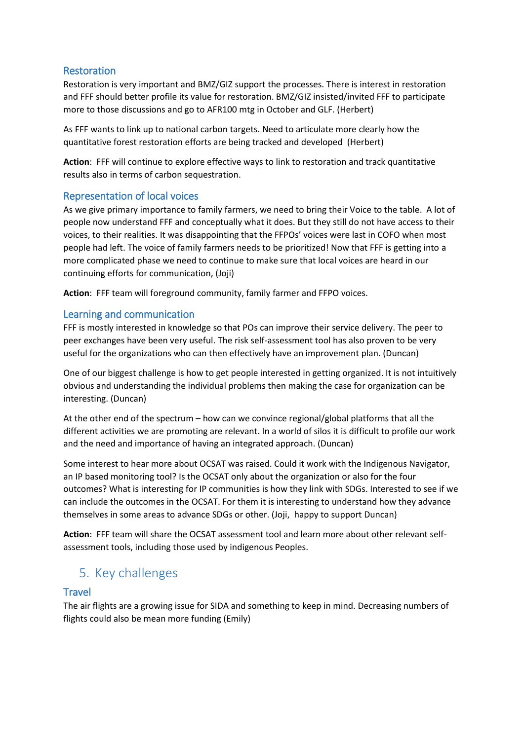### Restoration

Restoration is very important and BMZ/GIZ support the processes. There is interest in restoration and FFF should better profile its value for restoration. BMZ/GIZ insisted/invited FFF to participate more to those discussions and go to AFR100 mtg in October and GLF. (Herbert)

As FFF wants to link up to national carbon targets. Need to articulate more clearly how the quantitative forest restoration efforts are being tracked and developed (Herbert)

**Action**: FFF will continue to explore effective ways to link to restoration and track quantitative results also in terms of carbon sequestration.

## Representation of local voices

As we give primary importance to family farmers, we need to bring their Voice to the table. A lot of people now understand FFF and conceptually what it does. But they still do not have access to their voices, to their realities. It was disappointing that the FFPOs' voices were last in COFO when most people had left. The voice of family farmers needs to be prioritized! Now that FFF is getting into a more complicated phase we need to continue to make sure that local voices are heard in our continuing efforts for communication, (Joji)

**Action**: FFF team will foreground community, family farmer and FFPO voices.

## Learning and communication

FFF is mostly interested in knowledge so that POs can improve their service delivery. The peer to peer exchanges have been very useful. The risk self-assessment tool has also proven to be very useful for the organizations who can then effectively have an improvement plan. (Duncan)

One of our biggest challenge is how to get people interested in getting organized. It is not intuitively obvious and understanding the individual problems then making the case for organization can be interesting. (Duncan)

At the other end of the spectrum – how can we convince regional/global platforms that all the different activities we are promoting are relevant. In a world of silos it is difficult to profile our work and the need and importance of having an integrated approach. (Duncan)

Some interest to hear more about OCSAT was raised. Could it work with the Indigenous Navigator, an IP based monitoring tool? Is the OCSAT only about the organization or also for the four outcomes? What is interesting for IP communities is how they link with SDGs. Interested to see if we can include the outcomes in the OCSAT. For them it is interesting to understand how they advance themselves in some areas to advance SDGs or other. (Joji, happy to support Duncan)

**Action**: FFF team will share the OCSAT assessment tool and learn more about other relevant selfassessment tools, including those used by indigenous Peoples.

# 5. Key challenges

### **Travel**

The air flights are a growing issue for SIDA and something to keep in mind. Decreasing numbers of flights could also be mean more funding (Emily)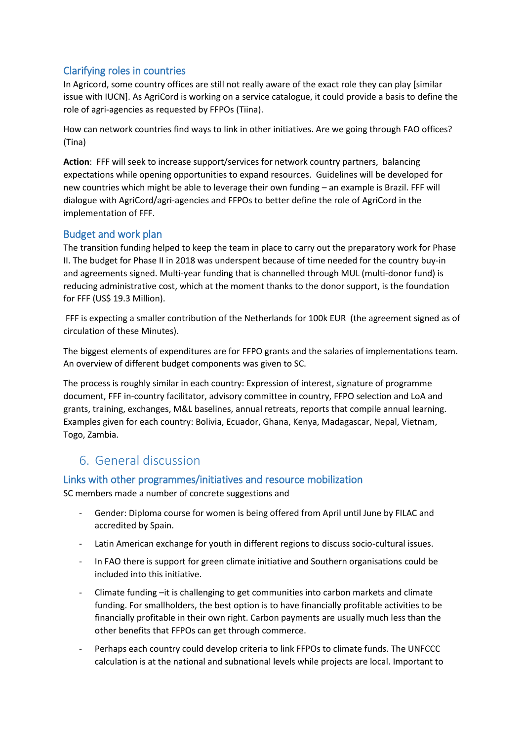# Clarifying roles in countries

In Agricord, some country offices are still not really aware of the exact role they can play [similar issue with IUCN]. As AgriCord is working on a service catalogue, it could provide a basis to define the role of agri-agencies as requested by FFPOs (Tiina).

How can network countries find ways to link in other initiatives. Are we going through FAO offices? (Tina)

**Action**: FFF will seek to increase support/services for network country partners, balancing expectations while opening opportunities to expand resources. Guidelines will be developed for new countries which might be able to leverage their own funding – an example is Brazil. FFF will dialogue with AgriCord/agri-agencies and FFPOs to better define the role of AgriCord in the implementation of FFF.

### Budget and work plan

The transition funding helped to keep the team in place to carry out the preparatory work for Phase II. The budget for Phase II in 2018 was underspent because of time needed for the country buy-in and agreements signed. Multi-year funding that is channelled through MUL (multi-donor fund) is reducing administrative cost, which at the moment thanks to the donor support, is the foundation for FFF (US\$ 19.3 Million).

FFF is expecting a smaller contribution of the Netherlands for 100k EUR (the agreement signed as of circulation of these Minutes).

The biggest elements of expenditures are for FFPO grants and the salaries of implementations team. An overview of different budget components was given to SC.

The process is roughly similar in each country: Expression of interest, signature of programme document, FFF in-country facilitator, advisory committee in country, FFPO selection and LoA and grants, training, exchanges, M&L baselines, annual retreats, reports that compile annual learning. Examples given for each country: Bolivia, Ecuador, Ghana, Kenya, Madagascar, Nepal, Vietnam, Togo, Zambia.

# 6. General discussion

### Links with other programmes/initiatives and resource mobilization

SC members made a number of concrete suggestions and

- Gender: Diploma course for women is being offered from April until June by FILAC and accredited by Spain.
- Latin American exchange for youth in different regions to discuss socio-cultural issues.
- In FAO there is support for green climate initiative and Southern organisations could be included into this initiative.
- Climate funding –it is challenging to get communities into carbon markets and climate funding. For smallholders, the best option is to have financially profitable activities to be financially profitable in their own right. Carbon payments are usually much less than the other benefits that FFPOs can get through commerce.
- Perhaps each country could develop criteria to link FFPOs to climate funds. The UNFCCC calculation is at the national and subnational levels while projects are local. Important to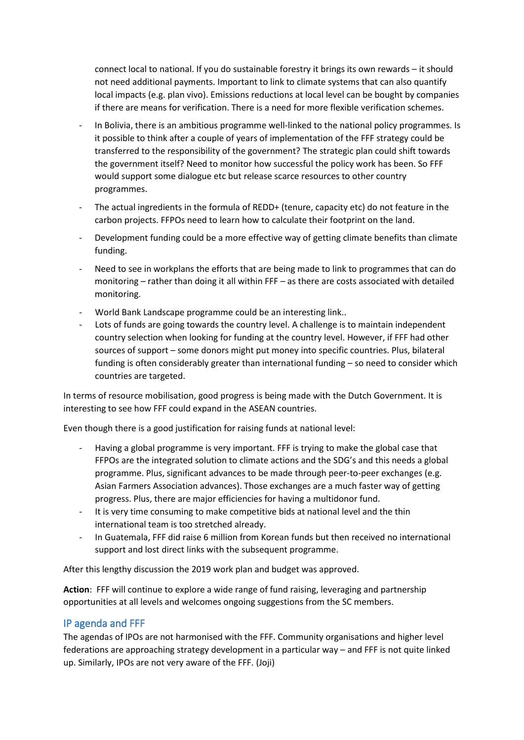connect local to national. If you do sustainable forestry it brings its own rewards – it should not need additional payments. Important to link to climate systems that can also quantify local impacts (e.g. plan vivo). Emissions reductions at local level can be bought by companies if there are means for verification. There is a need for more flexible verification schemes.

- In Bolivia, there is an ambitious programme well-linked to the national policy programmes. Is it possible to think after a couple of years of implementation of the FFF strategy could be transferred to the responsibility of the government? The strategic plan could shift towards the government itself? Need to monitor how successful the policy work has been. So FFF would support some dialogue etc but release scarce resources to other country programmes.
- The actual ingredients in the formula of REDD+ (tenure, capacity etc) do not feature in the carbon projects. FFPOs need to learn how to calculate their footprint on the land.
- Development funding could be a more effective way of getting climate benefits than climate funding.
- Need to see in workplans the efforts that are being made to link to programmes that can do monitoring – rather than doing it all within FFF – as there are costs associated with detailed monitoring.
- World Bank Landscape programme could be an interesting link..
- Lots of funds are going towards the country level. A challenge is to maintain independent country selection when looking for funding at the country level. However, if FFF had other sources of support – some donors might put money into specific countries. Plus, bilateral funding is often considerably greater than international funding – so need to consider which countries are targeted.

In terms of resource mobilisation, good progress is being made with the Dutch Government. It is interesting to see how FFF could expand in the ASEAN countries.

Even though there is a good justification for raising funds at national level:

- Having a global programme is very important. FFF is trying to make the global case that FFPOs are the integrated solution to climate actions and the SDG's and this needs a global programme. Plus, significant advances to be made through peer-to-peer exchanges (e.g. Asian Farmers Association advances). Those exchanges are a much faster way of getting progress. Plus, there are major efficiencies for having a multidonor fund.
- It is very time consuming to make competitive bids at national level and the thin international team is too stretched already.
- In Guatemala, FFF did raise 6 million from Korean funds but then received no international support and lost direct links with the subsequent programme.

After this lengthy discussion the 2019 work plan and budget was approved.

**Action**: FFF will continue to explore a wide range of fund raising, leveraging and partnership opportunities at all levels and welcomes ongoing suggestions from the SC members.

# IP agenda and FFF

The agendas of IPOs are not harmonised with the FFF. Community organisations and higher level federations are approaching strategy development in a particular way – and FFF is not quite linked up. Similarly, IPOs are not very aware of the FFF. (Joji)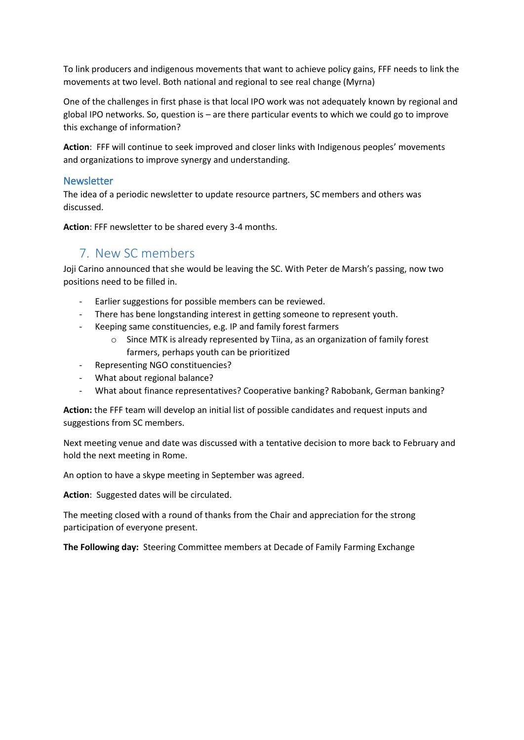To link producers and indigenous movements that want to achieve policy gains, FFF needs to link the movements at two level. Both national and regional to see real change (Myrna)

One of the challenges in first phase is that local IPO work was not adequately known by regional and global IPO networks. So, question is – are there particular events to which we could go to improve this exchange of information?

**Action**: FFF will continue to seek improved and closer links with Indigenous peoples' movements and organizations to improve synergy and understanding.

### **Newsletter**

The idea of a periodic newsletter to update resource partners, SC members and others was discussed.

**Action**: FFF newsletter to be shared every 3-4 months.

# 7. New SC members

Joji Carino announced that she would be leaving the SC. With Peter de Marsh's passing, now two positions need to be filled in.

- Earlier suggestions for possible members can be reviewed.
- There has bene longstanding interest in getting someone to represent youth.
- Keeping same constituencies, e.g. IP and family forest farmers
	- o Since MTK is already represented by Tiina, as an organization of family forest farmers, perhaps youth can be prioritized
- Representing NGO constituencies?
- What about regional balance?
- What about finance representatives? Cooperative banking? Rabobank, German banking?

**Action:** the FFF team will develop an initial list of possible candidates and request inputs and suggestions from SC members.

Next meeting venue and date was discussed with a tentative decision to more back to February and hold the next meeting in Rome.

An option to have a skype meeting in September was agreed.

**Action**: Suggested dates will be circulated.

The meeting closed with a round of thanks from the Chair and appreciation for the strong participation of everyone present.

**The Following day:** Steering Committee members at Decade of Family Farming Exchange